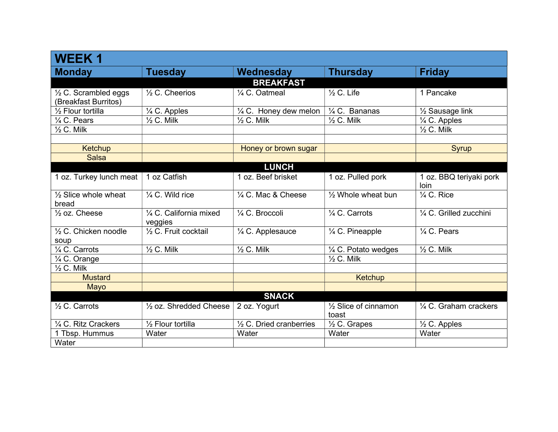| <b>WEEK1</b>                                            |                                    |                                    |                                            |                                  |
|---------------------------------------------------------|------------------------------------|------------------------------------|--------------------------------------------|----------------------------------|
| <b>Monday</b>                                           | <b>Tuesday</b>                     | <b>Wednesday</b>                   | <b>Thursday</b>                            | <b>Friday</b>                    |
|                                                         |                                    | <b>BREAKFAST</b>                   |                                            |                                  |
| $\frac{1}{2}$ C. Scrambled eggs<br>(Breakfast Burritos) | $\frac{1}{2}$ C. Cheerios          | 1/4 C. Oatmeal                     | $\frac{1}{2}$ C. Life                      | 1 Pancake                        |
| 1/ <sub>2</sub> Flour tortilla                          | 1/4 C. Apples                      | 1/4 C. Honey dew melon             | $\frac{1}{4}$ C. Bananas                   | $\frac{1}{2}$ Sausage link       |
| 1⁄4 C. Pears                                            | $\frac{1}{2}$ C. Milk              | $\frac{1}{2}$ C. Milk              | $\frac{1}{2}$ C. Milk                      | 1/4 C. Apples                    |
| $\frac{1}{2}$ C. Milk                                   |                                    |                                    |                                            | $\frac{1}{2}$ C. Milk            |
|                                                         |                                    |                                    |                                            |                                  |
| Ketchup                                                 |                                    | Honey or brown sugar               |                                            | <b>Syrup</b>                     |
| <b>Salsa</b>                                            |                                    |                                    |                                            |                                  |
|                                                         |                                    | <b>LUNCH</b>                       |                                            |                                  |
| 1 oz. Turkey lunch meat                                 | 1 oz Catfish                       | 1 oz. Beef brisket                 | 1 oz. Pulled pork                          | 1 oz. BBQ teriyaki pork<br>loin  |
| $\frac{1}{2}$ Slice whole wheat<br>bread                | 1/4 C. Wild rice                   | 1/4 C. Mac & Cheese                | 1/2 Whole wheat bun                        | $\frac{1}{4}$ C. Rice            |
| $\frac{1}{2}$ oz. Cheese                                | 1/4 C. California mixed<br>veggies | 1/4 C. Broccoli                    | 1/4 C. Carrots                             | 1/4 C. Grilled zucchini          |
| $\frac{1}{2}$ C. Chicken noodle<br>soup                 | 1/2 C. Fruit cocktail              | 1/4 C. Applesauce                  | 1/4 C. Pineapple                           | 1/4 C. Pears                     |
| 1/4 C. Carrots                                          | $\frac{1}{2}$ C. Milk              | $\frac{1}{2}$ C. Milk              | 1/4 C. Potato wedges                       | $\frac{1}{2}$ C. Milk            |
| 1/4 C. Orange                                           |                                    |                                    | $\frac{1}{2}$ C. Milk                      |                                  |
| $\frac{1}{2}$ C. Milk                                   |                                    |                                    |                                            |                                  |
| <b>Mustard</b>                                          |                                    |                                    | Ketchup                                    |                                  |
| Mayo                                                    |                                    |                                    |                                            |                                  |
|                                                         |                                    | <b>SNACK</b>                       |                                            |                                  |
| $\frac{1}{2}$ C. Carrots                                | $\frac{1}{2}$ oz. Shredded Cheese  | 2 oz. Yogurt                       | 1/ <sub>2</sub> Slice of cinnamon<br>toast | $\frac{1}{4}$ C. Graham crackers |
| 1/4 C. Ritz Crackers                                    | 1/ <sub>2</sub> Flour tortilla     | $\frac{1}{2}$ C. Dried cranberries | 1/2 C. Grapes                              | 1/2 C. Apples                    |
| 1 Tbsp. Hummus                                          | Water                              | Water                              | Water                                      | Water                            |
| Water                                                   |                                    |                                    |                                            |                                  |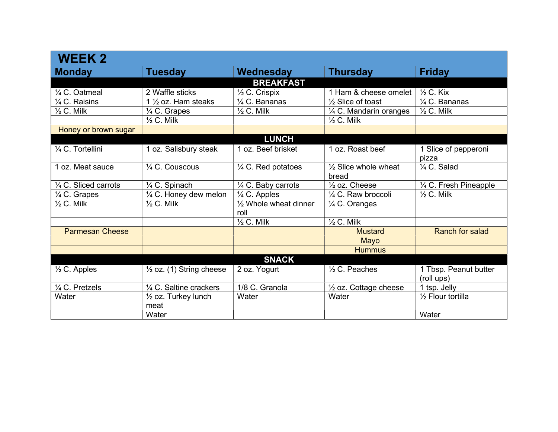| <b>WEEK 2</b>                   |                                     |                                  |                                  |                          |
|---------------------------------|-------------------------------------|----------------------------------|----------------------------------|--------------------------|
| <b>Monday</b>                   | <b>Tuesday</b>                      | Wednesday                        | <b>Thursday</b>                  | <b>Friday</b>            |
|                                 |                                     | <b>BREAKFAST</b>                 |                                  |                          |
| 1/4 C. Oatmeal                  | 2 Waffle sticks                     | $\frac{1}{2}$ C. Crispix         | 1 Ham & cheese omelet            | $\frac{1}{2}$ C. Kix     |
| 1/4 C. Raisins                  | 1 $\frac{1}{2}$ oz. Ham steaks      | 1/4 C. Bananas                   | $\frac{1}{2}$ Slice of toast     | $\frac{1}{4}$ C. Bananas |
| $\frac{1}{2}$ C. Milk           | 1/4 C. Grapes                       | $\frac{1}{2}$ C. Milk            | 1/4 C. Mandarin oranges          | $\frac{1}{2}$ C. Milk    |
|                                 | $\frac{1}{2}$ C. Milk               |                                  | $\frac{1}{2}$ C. Milk            |                          |
| Honey or brown sugar            |                                     |                                  |                                  |                          |
|                                 |                                     | <b>LUNCH</b>                     |                                  |                          |
| 1/4 C. Tortellini               | 1 oz. Salisbury steak               | 1 oz. Beef brisket               | 1 oz. Roast beef                 | 1 Slice of pepperoni     |
|                                 |                                     |                                  |                                  | pizza                    |
| 1 oz. Meat sauce                | $\frac{1}{4}$ C. Couscous           | 1/4 C. Red potatoes              | $\frac{1}{2}$ Slice whole wheat  | 1/4 C. Salad             |
|                                 |                                     |                                  | bread                            |                          |
| $\frac{1}{4}$ C. Sliced carrots | 1/4 C. Spinach                      | 1/4 C. Baby carrots              | $\frac{1}{2}$ oz. Cheese         | 1/4 C. Fresh Pineapple   |
| 1⁄4 C. Grapes                   | $\frac{1}{4}$ C. Honey dew melon    | $\frac{1}{4}$ C. Apples          | 1/4 C. Raw broccoli              | $\frac{1}{2}$ C. Milk    |
| $\frac{1}{2}$ C. Milk           | $\frac{1}{2}$ C. Milk               | $\frac{1}{2}$ Whole wheat dinner | 1/4 C. Oranges                   |                          |
|                                 |                                     | roll                             |                                  |                          |
|                                 |                                     | $\frac{1}{2}$ C. Milk            | $\frac{1}{2}$ C. Milk            |                          |
| <b>Parmesan Cheese</b>          |                                     |                                  | <b>Mustard</b>                   | <b>Ranch for salad</b>   |
|                                 |                                     |                                  | Mayo                             |                          |
|                                 |                                     |                                  | <b>Hummus</b>                    |                          |
|                                 |                                     | <b>SNACK</b>                     |                                  |                          |
| $\frac{1}{2}$ C. Apples         | $\frac{1}{2}$ oz. (1) String cheese | 2 oz. Yogurt                     | $\frac{1}{2}$ C. Peaches         | 1 Tbsp. Peanut butter    |
|                                 |                                     |                                  |                                  | (roll ups)               |
| 1/4 C. Pretzels                 | 1/4 C. Saltine crackers             | 1/8 C. Granola                   | $\frac{1}{2}$ oz. Cottage cheese | 1 tsp. Jelly             |
| Water                           | 1/2 oz. Turkey lunch                | Water                            | Water                            | 1/2 Flour tortilla       |
|                                 | meat                                |                                  |                                  |                          |
|                                 | Water                               |                                  |                                  | Water                    |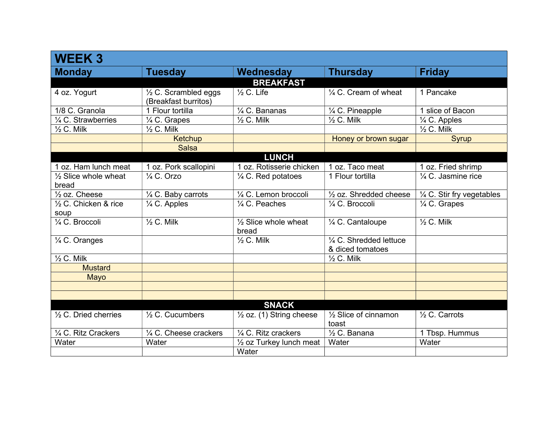| <b>WEEK3</b>                             |                                                         |                                          |                                             |                            |
|------------------------------------------|---------------------------------------------------------|------------------------------------------|---------------------------------------------|----------------------------|
| <b>Monday</b>                            | <b>Tuesday</b>                                          | Wednesday                                | <b>Thursday</b>                             | <b>Friday</b>              |
|                                          |                                                         | <b>BREAKFAST</b>                         |                                             |                            |
| 4 oz. Yogurt                             | $\frac{1}{2}$ C. Scrambled eggs<br>(Breakfast burritos) | $\frac{1}{2}$ C. Life                    | 1/4 C. Cream of wheat                       | 1 Pancake                  |
| 1/8 C. Granola                           | 1 Flour tortilla                                        | 1/4 C. Bananas                           | 1/4 C. Pineapple                            | 1 slice of Bacon           |
| 1/4 C. Strawberries                      | 1/4 C. Grapes                                           | $\frac{1}{2}$ C. Milk                    | $\frac{1}{2}$ C. Milk                       | $\frac{1}{4}$ C. Apples    |
| $\frac{1}{2}$ C. Milk                    | $\frac{1}{2}$ C. Milk                                   |                                          |                                             | $\frac{1}{2}$ C. Milk      |
|                                          | <b>Ketchup</b>                                          |                                          | Honey or brown sugar                        | <b>Syrup</b>               |
|                                          | <b>Salsa</b>                                            |                                          |                                             |                            |
|                                          |                                                         | <b>LUNCH</b>                             |                                             |                            |
| 1 oz. Ham lunch meat                     | 1 oz. Pork scallopini                                   | 1 oz. Rotisserie chicken                 | 1 oz. Taco meat                             | 1 oz. Fried shrimp         |
| $\frac{1}{2}$ Slice whole wheat<br>bread | $\frac{1}{4}$ C. Orzo                                   | $\frac{1}{4}$ C. Red potatoes            | 1 Flour tortilla                            | 1/4 C. Jasmine rice        |
| $\frac{1}{2}$ oz. Cheese                 | 1/4 C. Baby carrots                                     | 1/4 C. Lemon broccoli                    | $\frac{1}{2}$ oz. Shredded cheese           | 1/4 C. Stir fry vegetables |
| 1/2 C. Chicken & rice<br>soup            | 1/4 C. Apples                                           | 1/4 C. Peaches                           | $\frac{1}{4}$ C. Broccoli                   | 1/4 C. Grapes              |
| 1/4 C. Broccoli                          | $\frac{1}{2}$ C. Milk                                   | $\frac{1}{2}$ Slice whole wheat<br>bread | 1/4 C. Cantaloupe                           | $\frac{1}{2}$ C. Milk      |
| 1/4 C. Oranges                           |                                                         | $\frac{1}{2}$ C. Milk                    | 1/4 C. Shredded lettuce<br>& diced tomatoes |                            |
| $\frac{1}{2}$ C. Milk                    |                                                         |                                          | $\frac{1}{2}$ C. Milk                       |                            |
| <b>Mustard</b>                           |                                                         |                                          |                                             |                            |
| Mayo                                     |                                                         |                                          |                                             |                            |
|                                          |                                                         |                                          |                                             |                            |
|                                          |                                                         |                                          |                                             |                            |
|                                          |                                                         | <b>SNACK</b>                             |                                             |                            |
| $\frac{1}{2}$ C. Dried cherries          | $\frac{1}{2}$ C. Cucumbers                              | $\frac{1}{2}$ oz. (1) String cheese      | $\frac{1}{2}$ Slice of cinnamon<br>toast    | 1/2 C. Carrots             |
| 1/4 C. Ritz Crackers                     | $\frac{1}{4}$ C. Cheese crackers                        | $\frac{1}{4}$ C. Ritz crackers           | $\frac{1}{2}$ C. Banana                     | 1 Tbsp. Hummus             |
| Water                                    | Water                                                   | $\frac{1}{2}$ oz Turkey lunch meat       | Water                                       | Water                      |
|                                          |                                                         | Water                                    |                                             |                            |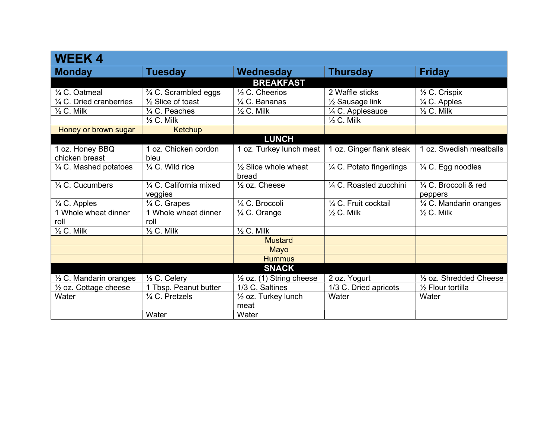| <b>WEEK4</b>                       |                              |                                          |                           |                          |
|------------------------------------|------------------------------|------------------------------------------|---------------------------|--------------------------|
| <b>Monday</b>                      | <b>Tuesday</b>               | Wednesday                                | <b>Thursday</b>           | <b>Friday</b>            |
|                                    |                              | <b>BREAKFAST</b>                         |                           |                          |
| 1/4 C. Oatmeal                     | 3/4 C. Scrambled eggs        | 1/2 C. Cheerios                          | 2 Waffle sticks           | $\frac{1}{2}$ C. Crispix |
| $\frac{1}{4}$ C. Dried cranberries | 1/2 Slice of toast           | 1/4 C. Bananas                           | 1/2 Sausage link          | $\frac{1}{4}$ C. Apples  |
| $\frac{1}{2}$ C. Milk              | 1/4 C. Peaches               | $\frac{1}{2}$ C. Milk                    | 1/4 C. Applesauce         | $\frac{1}{2}$ C. Milk    |
|                                    | $\frac{1}{2}$ C. Milk        |                                          | $\frac{1}{2}$ C. Milk     |                          |
| Honey or brown sugar               | Ketchup                      |                                          |                           |                          |
|                                    |                              | <b>LUNCH</b>                             |                           |                          |
| 1 oz. Honey BBQ                    | 1 oz. Chicken cordon         | 1 oz. Turkey lunch meat                  | 1 oz. Ginger flank steak  | 1 oz. Swedish meatballs  |
| chicken breast                     | bleu                         |                                          |                           |                          |
| $\frac{1}{4}$ C. Mashed potatoes   | 1/4 C. Wild rice             | $\frac{1}{2}$ Slice whole wheat<br>bread | 1/4 C. Potato fingerlings | 1/4 C. Egg noodles       |
| $\frac{1}{4}$ C. Cucumbers         | 1/4 C. California mixed      | $\frac{1}{2}$ oz. Cheese                 | 1/4 C. Roasted zucchini   | 1/4 C. Broccoli & red    |
|                                    | veggies                      |                                          |                           | peppers                  |
| $\frac{1}{4}$ C. Apples            | 1/4 C. Grapes                | 1/4 C. Broccoli                          | 1/4 C. Fruit cocktail     | 1/4 C. Mandarin oranges  |
| 1 Whole wheat dinner<br>roll       | 1 Whole wheat dinner<br>roll | $\frac{1}{4}$ C. Orange                  | $\frac{1}{2}$ C. Milk     | $\frac{1}{2}$ C. Milk    |
| $\frac{1}{2}$ C. Milk              | $\frac{1}{2}$ C. Milk        | $\frac{1}{2}$ C. Milk                    |                           |                          |
|                                    |                              | <b>Mustard</b>                           |                           |                          |
|                                    |                              | Mayo                                     |                           |                          |
|                                    |                              | <b>Hummus</b>                            |                           |                          |
|                                    |                              | <b>SNACK</b>                             |                           |                          |
| 1/2 C. Mandarin oranges            | 1/2 C. Celery                | $\frac{1}{2}$ oz. (1) String cheese      | 2 oz. Yogurt              | 1/2 oz. Shredded Cheese  |
| $\frac{1}{2}$ oz. Cottage cheese   | 1 Tbsp. Peanut butter        | 1/3 C. Saltines                          | 1/3 C. Dried apricots     | 1/2 Flour tortilla       |
| Water                              | 1/4 C. Pretzels              | $\frac{1}{2}$ oz. Turkey lunch<br>meat   | Water                     | Water                    |
|                                    | Water                        | Water                                    |                           |                          |